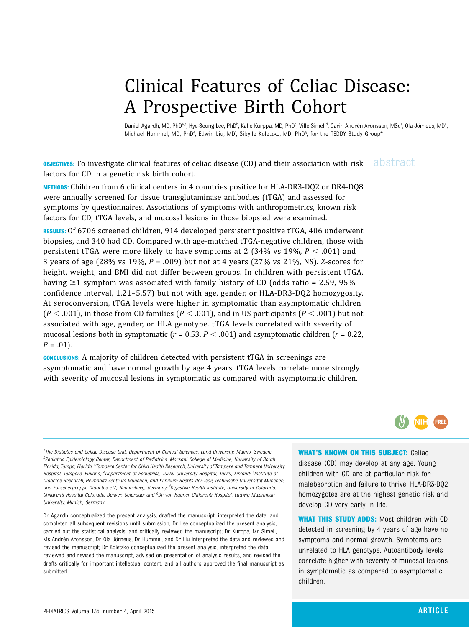# Clinical Features of Celiac Disease: A Prospective Birth Cohort

Daniel Agardh, MD, PhD<sup>a,b</sup>, Hye-Seung Lee, PhD<sup>B</sup>, Kalle Kurppa, MD, PhD°, Ville Simell<sup>a</sup>, Carin Andrén Aronsson, MScª, Ola Jörneus, MDª , Michael Hummel, MD, PhD<sup>e</sup>, Edwin Liu, MD<sup>f</sup>, Sibylle Koletzko, MD, PhD<sup>g</sup>, for the TEDDY Study Group\*

**OBJECTIVES:** To investigate clinical features of celiac disease (CD) and their association with risk abstract factors for CD in a genetic risk birth cohort.

METHODS: Children from 6 clinical centers in 4 countries positive for HLA-DR3-DQ2 or DR4-DQ8 were annually screened for tissue transglutaminase antibodies (tTGA) and assessed for symptoms by questionnaires. Associations of symptoms with anthropometrics, known risk factors for CD, tTGA levels, and mucosal lesions in those biopsied were examined.

RESULTS: Of 6706 screened children, 914 developed persistent positive tTGA, 406 underwent biopsies, and 340 had CD. Compared with age-matched tTGA-negative children, those with persistent tTGA were more likely to have symptoms at 2 (34% vs 19%,  $P < .001$ ) and 3 years of age (28% vs 19%,  $P = .009$ ) but not at 4 years (27% vs 21%, NS). *Z*-scores for height, weight, and BMI did not differ between groups. In children with persistent tTGA, having  $\geq 1$  symptom was associated with family history of CD (odds ratio = 2.59, 95%) confidence interval, 1.21–5.57) but not with age, gender, or HLA-DR3-DQ2 homozygosity. At seroconversion, tTGA levels were higher in symptomatic than asymptomatic children  $(P < .001)$ , in those from CD families  $(P < .001)$ , and in US participants  $(P < .001)$  but not associated with age, gender, or HLA genotype. tTGA levels correlated with severity of mucosal lesions both in symptomatic ( $r = 0.53$ ,  $P < .001$ ) and asymptomatic children ( $r = 0.22$ ,  $P = .01$ ).

CONCLUSIONS: A majority of children detected with persistent tTGA in screenings are asymptomatic and have normal growth by age 4 years. tTGA levels correlate more strongly with severity of mucosal lesions in symptomatic as compared with asymptomatic children.



<sup>a</sup>The Diabetes and Celiac Disease Unit, Department of Clinical Sciences, Lund University, Malmo, Sweden, <sup>b</sup>Pediatric Epidemiology Center, Department of Pediatrics, Morsani College of Medicine, University of South Florida, Tampa, Florida; <sup>c</sup>Tampere Center for Child Health Research, University of Tampere and Tampere University Hospital, Tampere, Finland; <sup>d</sup>Department of Pediatrics, Turku University Hospital, Turku, Finland; <sup>e</sup>lnstitute of Diabetes Research, Helmholtz Zentrum München, and Klinikum Rechts der Isar, Technische Universität München, and Forschergruppe Diabetes e.V., Neuherberg, Germany; <sup>f</sup>Digestive Health Institute, University of Colorado, Children's Hospital Colorado, Denver, Colorado; and <sup>g</sup>Dr von Hauner Children's Hospital, Ludwig Maximilian University, Munich, Germany

Dr Agardh conceptualized the present analysis, drafted the manuscript, interpreted the data, and completed all subsequent revisions until submission; Dr Lee conceptualized the present analysis, carried out the statistical analysis, and critically reviewed the manuscript; Dr Kurppa, Mr Simell, Ms Andrén Aronsson, Dr Ola Jörneus, Dr Hummel, and Dr Liu interpreted the data and reviewed and revised the manuscript; Dr Koletzko conceptualized the present analysis, interpreted the data, reviewed and revised the manuscript, advised on presentation of analysis results, and revised the drafts critically for important intellectual content; and all authors approved the final manuscript as submitted.

#### WHAT'S KNOWN ON THIS SUBJECT: Celiac

disease (CD) may develop at any age. Young children with CD are at particular risk for malabsorption and failure to thrive. HLA-DR3-DQ2 homozygotes are at the highest genetic risk and develop CD very early in life.

WHAT THIS STUDY ADDS: Most children with CD detected in screening by 4 years of age have no symptoms and normal growth. Symptoms are unrelated to HLA genotype. Autoantibody levels correlate higher with severity of mucosal lesions in symptomatic as compared to asymptomatic children.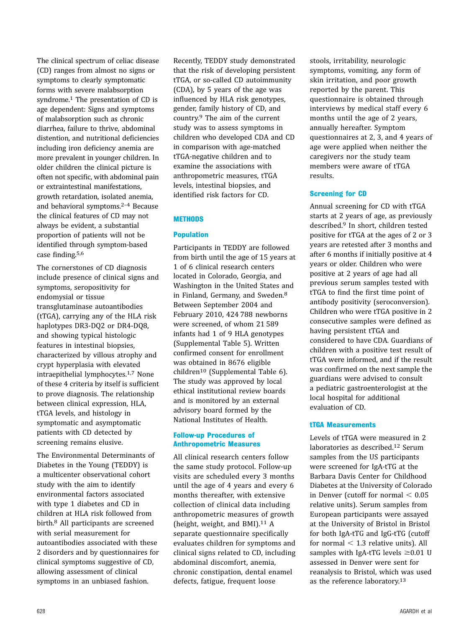The clinical spectrum of celiac disease (CD) ranges from almost no signs or symptoms to clearly symptomatic forms with severe malabsorption syndrome.<sup>1</sup> The presentation of CD is age dependent: Signs and symptoms of malabsorption such as chronic diarrhea, failure to thrive, abdominal distention, and nutritional deficiencies including iron deficiency anemia are more prevalent in younger children. In older children the clinical picture is often not specific, with abdominal pain or extraintestinal manifestations, growth retardation, isolated anemia, and behavioral symptoms.2–<sup>4</sup> Because the clinical features of CD may not always be evident, a substantial proportion of patients will not be identified through symptom-based case finding.5,6

The cornerstones of CD diagnosis include presence of clinical signs and symptoms, seropositivity for endomysial or tissue transglutaminase autoantibodies (tTGA), carrying any of the HLA risk haplotypes DR3-DQ2 or DR4-DQ8, and showing typical histologic features in intestinal biopsies, characterized by villous atrophy and crypt hyperplasia with elevated intraepithelial lymphocytes.1,7 None of these 4 criteria by itself is sufficient to prove diagnosis. The relationship between clinical expression, HLA, tTGA levels, and histology in symptomatic and asymptomatic patients with CD detected by screening remains elusive.

The Environmental Determinants of Diabetes in the Young (TEDDY) is a multicenter observational cohort study with the aim to identify environmental factors associated with type 1 diabetes and CD in children at HLA risk followed from birth.8 All participants are screened with serial measurement for autoantibodies associated with these 2 disorders and by questionnaires for clinical symptoms suggestive of CD, allowing assessment of clinical symptoms in an unbiased fashion.

Recently, TEDDY study demonstrated that the risk of developing persistent tTGA, or so-called CD autoimmunity (CDA), by 5 years of the age was influenced by HLA risk genotypes, gender, family history of CD, and country.9 The aim of the current study was to assess symptoms in children who developed CDA and CD in comparison with age-matched tTGA-negative children and to examine the associations with anthropometric measures, tTGA levels, intestinal biopsies, and identified risk factors for CD.

# **METHODS**

# **Population**

Participants in TEDDY are followed from birth until the age of 15 years at 1 of 6 clinical research centers located in Colorado, Georgia, and Washington in the United States and in Finland, Germany, and Sweden.8 Between September 2004 and February 2010, 424 788 newborns were screened, of whom 21 589 infants had 1 of 9 HLA genotypes ([Supplemental Table 5\)](http://pediatrics.aappublications.org/lookup/suppl/doi:10.1542/peds.2014-3675/-/DCSupplemental). Written confirmed consent for enrollment was obtained in 8676 eligible children10 [\(Supplemental Table 6](http://pediatrics.aappublications.org/lookup/suppl/doi:10.1542/peds.2014-3675/-/DCSupplemental)). The study was approved by local ethical institutional review boards and is monitored by an external advisory board formed by the National Institutes of Health.

# Follow-up Procedures of Anthropometric Measures

All clinical research centers follow the same study protocol. Follow-up visits are scheduled every 3 months until the age of 4 years and every 6 months thereafter, with extensive collection of clinical data including anthropometric measures of growth (height, weight, and BMI). $11$  A separate questionnaire specifically evaluates children for symptoms and clinical signs related to CD, including abdominal discomfort, anemia, chronic constipation, dental enamel defects, fatigue, frequent loose

stools, irritability, neurologic symptoms, vomiting, any form of skin irritation, and poor growth reported by the parent. This questionnaire is obtained through interviews by medical staff every 6 months until the age of 2 years, annually hereafter. Symptom questionnaires at 2, 3, and 4 years of age were applied when neither the caregivers nor the study team members were aware of tTGA results.

## Screening for CD

Annual screening for CD with tTGA starts at 2 years of age, as previously described.9 In short, children tested positive for tTGA at the ages of 2 or 3 years are retested after 3 months and after 6 months if initially positive at 4 years or older. Children who were positive at 2 years of age had all previous serum samples tested with tTGA to find the first time point of antibody positivity (seroconversion). Children who were tTGA positive in 2 consecutive samples were defined as having persistent tTGA and considered to have CDA. Guardians of children with a positive test result of tTGA were informed, and if the result was confirmed on the next sample the guardians were advised to consult a pediatric gastroenterologist at the local hospital for additional evaluation of CD.

## tTGA Measurements

Levels of tTGA were measured in 2 laboratories as described.12 Serum samples from the US participants were screened for IgA-tTG at the Barbara Davis Center for Childhood Diabetes at the University of Colorado in Denver (cutoff for normal  $< 0.05$ relative units). Serum samples from European participants were assayed at the University of Bristol in Bristol for both IgA-tTG and IgG-tTG (cutoff for normal  $<$  1.3 relative units). All samples with IgA-tTG levels  $\geq 0.01$  U assessed in Denver were sent for reanalysis to Bristol, which was used as the reference laboratory.13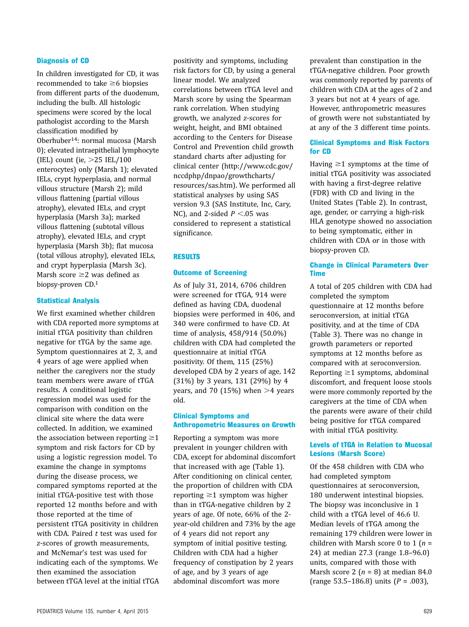# Diagnosis of CD

In children investigated for CD, it was recommended to take  $\geq 6$  biopsies from different parts of the duodenum, including the bulb. All histologic specimens were scored by the local pathologist according to the Marsh classification modified by Oberhuber14: normal mucosa (Marsh 0); elevated intraepithelial lymphocyte (IEL) count (ie,  $>25$  IEL/100 enterocytes) only (Marsh 1); elevated IELs, crypt hyperplasia, and normal villous structure (Marsh 2); mild villous flattening (partial villous atrophy), elevated IELs, and crypt hyperplasia (Marsh 3a); marked villous flattening (subtotal villous atrophy), elevated IELs, and crypt hyperplasia (Marsh 3b); flat mucosa (total villous atrophy), elevated IELs, and crypt hyperplasia (Marsh 3c). Marsh score  $\geq$  was defined as biopsy-proven CD.1

#### Statistical Analysis

We first examined whether children with CDA reported more symptoms at initial tTGA positivity than children negative for tTGA by the same age. Symptom questionnaires at 2, 3, and 4 years of age were applied when neither the caregivers nor the study team members were aware of tTGA results. A conditional logistic regression model was used for the comparison with condition on the clinical site where the data were collected. In addition, we examined the association between reporting  $\geq$ 1 symptom and risk factors for CD by using a logistic regression model. To examine the change in symptoms during the disease process, we compared symptoms reported at the initial tTGA-positive test with those reported 12 months before and with those reported at the time of persistent tTGA positivity in children with CDA. Paired  $t$  test was used for z-scores of growth measurements, and McNemar's test was used for indicating each of the symptoms. We then examined the association between tTGA level at the initial tTGA positivity and symptoms, including risk factors for CD, by using a general linear model. We analyzed correlations between tTGA level and Marsh score by using the Spearman rank correlation. When studying growth, we analyzed z-scores for weight, height, and BMI obtained according to the Centers for Disease Control and Prevention child growth standard charts after adjusting for clinical center ([http://www.cdc.gov/](http://www.cdc.gov/nccdphp/dnpao/growthcharts/resources/sas.htm) [nccdphp/dnpao/growthcharts/](http://www.cdc.gov/nccdphp/dnpao/growthcharts/resources/sas.htm) [resources/sas.htm](http://www.cdc.gov/nccdphp/dnpao/growthcharts/resources/sas.htm)). We performed all statistical analyses by using SAS version 9.3 (SAS Institute, Inc, Cary, NC), and 2-sided  $P < .05$  was considered to represent a statistical significance.

## RESULTS

#### Outcome of Screening

As of July 31, 2014, 6706 children were screened for tTGA, 914 were defined as having CDA, duodenal biopsies were performed in 406, and 340 were confirmed to have CD. At time of analysis, 458/914 (50.0%) children with CDA had completed the questionnaire at initial tTGA positivity. Of them, 115 (25%) developed CDA by 2 years of age, 142 (31%) by 3 years, 131 (29%) by 4 years, and 70 (15%) when  $>4$  years old.

# Clinical Symptoms and Anthropometric Measures on Growth

Reporting a symptom was more prevalent in younger children with CDA, except for abdominal discomfort that increased with age (Table 1). After conditioning on clinical center, the proportion of children with CDA reporting  $\geq 1$  symptom was higher than in tTGA-negative children by 2 years of age. Of note, 66% of the 2 year-old children and 73% by the age of 4 years did not report any symptom of initial positive testing. Children with CDA had a higher frequency of constipation by 2 years of age, and by 3 years of age abdominal discomfort was more

prevalent than constipation in the tTGA-negative children. Poor growth was commonly reported by parents of children with CDA at the ages of 2 and 3 years but not at 4 years of age. However, anthropometric measures of growth were not substantiated by at any of the 3 different time points.

## Clinical Symptoms and Risk Factors for CD

Having  $\geq 1$  symptoms at the time of initial tTGA positivity was associated with having a first-degree relative (FDR) with CD and living in the United States (Table 2). In contrast, age, gender, or carrying a high-risk HLA genotype showed no association to being symptomatic, either in children with CDA or in those with biopsy-proven CD.

# Change in Clinical Parameters Over Time

A total of 205 children with CDA had completed the symptom questionnaire at 12 months before seroconversion, at initial tTGA positivity, and at the time of CDA (Table 3). There was no change in growth parameters or reported symptoms at 12 months before as compared with at seroconversion. Reporting  $\geq 1$  symptoms, abdominal discomfort, and frequent loose stools were more commonly reported by the caregivers at the time of CDA when the parents were aware of their child being positive for tTGA compared with initial tTGA positivity.

## Levels of tTGA in Relation to Mucosal Lesions (Marsh Score)

Of the 458 children with CDA who had completed symptom questionnaires at seroconversion, 180 underwent intestinal biopsies. The biopsy was inconclusive in 1 child with a tTGA level of 46.6 U. Median levels of tTGA among the remaining 179 children were lower in children with Marsh score 0 to 1 ( $n =$ 24) at median 27.3 (range 1.8–96.0) units, compared with those with Marsh score 2 ( $n = 8$ ) at median 84.0 (range 53.5–186.8) units  $(P = .003)$ ,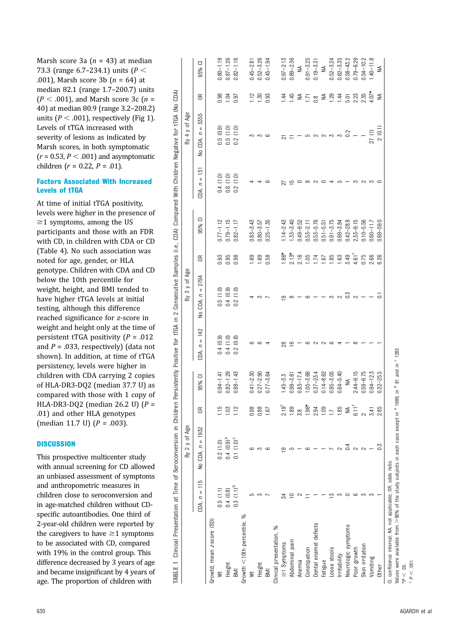Marsh score 3a  $(n = 43)$  at median 73.3 (range 6.7–234.1) units ( $P <$ .001), Marsh score 3b  $(n = 64)$  at median 82.1 (range 1.7 –200.7) units  $(P < .001)$ , and Marsh score 3c (*n* = 40) at median 80.9 (range 3.2 –208.2) units ( $P < .001$ ), respectively (Fig 1). Levels of tTGA increased with severity of lesions as indicated by Marsh scores, in both symptomatic  $(r = 0.53, P < .001)$  and asymptomatic children  $(r = 0.22, P = .01)$ .

### Factors Associated With Increased Levels of tTGA

At time of initial tTGA positivity, levels were higher in the presence of  $\geq$ 1 symptoms, among the US participants and those with an FDR with CD, in children with CDA or CD (Table 4). No such association was noted for age, gender, or HLA genotype. Children with CDA and CD below the 10th percentile for weight, height, and BMI tended to have higher tTGA levels at initial testing, although this difference reached signi ficance for z-score in weight and height only at the time of persistent tTGA positivity  $(P = .012)$ and  $P = .033$ , respectively) (data not shown). In addition, at time of tTGA persistency, levels were higher in children with CDA carrying 2 copies of HLA-DR3-DQ2 (median 37.7 U) as compared with those with 1 copy of HLA-DR3-DQ2 (median 26.2 U)  $(P =$ .01) and other HLA genotypes (median 11.7 U)  $(P = .003)$ .

# **DISCUSSION**

This prospective multicenter study with annual screening for CD allowed an unbiased assessment of symptoms and anthropometric measures in children close to seroconversion and in age-matched children without CDspecific autoantibodies. One third of 2-year-old children were reported by the caregivers to have  $\geq 1$  symptoms to be associated with CD, compared with 19% in the control group. This difference decreased by 3 years of age and became insigni ficant by 4 years of age. The proportion of children with

| ABLE 1 Clinical Presentation at Time of Seroconversion in Children Persistently Positive for tTGA in 2 Consecutive Samples (i.e., CDA) Compared With Children Negative for tTGA (No CDA) |                                             |                             |                  |               |                                             |                          |                  |               |                                          |                                    |                  |               |
|------------------------------------------------------------------------------------------------------------------------------------------------------------------------------------------|---------------------------------------------|-----------------------------|------------------|---------------|---------------------------------------------|--------------------------|------------------|---------------|------------------------------------------|------------------------------------|------------------|---------------|
|                                                                                                                                                                                          |                                             | By 2 y of Age               |                  |               |                                             | 3 y of Age<br>Βy         |                  |               |                                          | 4 y of Age<br>කි                   |                  |               |
|                                                                                                                                                                                          | 115<br>$\label{eq:1} \mathsf{II}$<br>CDA, n | No CDA, $n = 1932$          | $\Im$            | ō<br>95%      | 142<br>$\label{eq:1} \mathsf{II}$<br>CDA, n | 2794<br>$n =$<br>No CDA, | $\approx$        | ਠ<br>95%      | خ.<br>$\sf II$<br>$\overline{c}$<br>CDA, | 3355<br>$\sf II$<br>n<br>CDA,<br>ş | $\in$            | 95% CI        |
| Growtd, mean z-score (SD)                                                                                                                                                                |                                             |                             |                  |               |                                             |                          |                  |               |                                          |                                    |                  |               |
| ≸                                                                                                                                                                                        | 0.5(1.1)                                    |                             | $\frac{5}{1}$    | $0.94 - 1.41$ | 0.4(0.9)                                    | 0.5(1.0)                 | 0.93             | $0.77 - 1.12$ | 0.4(1.0)                                 | 0.5(0.9)                           | 0.98             | $0.80 - 1.19$ |
| Height                                                                                                                                                                                   | 0.4(0.8)                                    | $0.2(1.0)$<br>0.4 $(0.9)^a$ | 03               | $0.82 - 1.29$ | (1.0)<br>0.4                                | 0.4(0.9)                 | 0.95             | $0.79 - 1.15$ | 0.6(1.0)                                 | 0.5(1.0)                           | $\overline{5}$   | $0.87 - 1.26$ |
| IMB                                                                                                                                                                                      | $(1.1)^{b}$<br>$\tilde{c}$ 0                | $0.1(1.0)^c$                | $\approx$        | $0.88 - 1.43$ | (0.8)<br>0.2                                | 0.2(1.0)                 | 0.98             | $0.82 - 1.17$ | (1.0)<br>0.2                             | $\frac{1}{2}$<br>0.2               | 0.97             | $0.82 - 1.16$ |
| Growth <10th percentile, %                                                                                                                                                               |                                             |                             |                  |               |                                             |                          |                  |               |                                          |                                    |                  |               |
| ₹                                                                                                                                                                                        |                                             |                             | 8                | $0.41 - 2.30$ |                                             |                          | G9               | $0.83 - 3.43$ |                                          | S                                  | $\frac{2}{1}$    | $0.45 - 2.8$  |
| Height                                                                                                                                                                                   |                                             |                             | 88               | $0.27 - 2.90$ | cc                                          |                          | G9               | $0.80 - 3.57$ |                                          | M                                  | 1.30             | $0.52 - 3.26$ |
| BMI                                                                                                                                                                                      |                                             |                             | 67               | $0.77 - 3.64$ |                                             |                          | 0.58             | $0.25 - 1.35$ |                                          | ∞                                  | 0.93             | $0.45 - 1.94$ |
| Clinical presentation, %                                                                                                                                                                 |                                             |                             |                  |               |                                             |                          |                  |               |                                          |                                    |                  |               |
| $\geq$ 1 Symptoms                                                                                                                                                                        |                                             |                             | $2.19^{\dagger}$ | $1.45 - 3.3$  | 28                                          |                          | $1.66*$          | $.14 - 2.43$  |                                          |                                    | $\ddot{ }$       | $0.97 - 2.13$ |
| Abdominal pain                                                                                                                                                                           |                                             |                             | 89               | $0.99 - 3.61$ | $\cong$                                     |                          | $2.13*$          | $1.33 - 3.40$ | ⊵                                        |                                    | 1.45             | $0.89 - 2.36$ |
| Anemia                                                                                                                                                                                   |                                             |                             | $\infty$         | $0.83 - 17.4$ |                                             |                          | 2.16             | $0.49 - 9.52$ |                                          |                                    | ≨                | ≨             |
| Constipation                                                                                                                                                                             |                                             |                             | ස්               | $1.05 - 3.66$ |                                             |                          | 105              | $0.53 - 2.1$  |                                          |                                    | $\overline{171}$ | $0.91 - 3.25$ |
| Dental enamel defects                                                                                                                                                                    |                                             |                             | 94               | $3.57 - 23.4$ |                                             |                          | 1.74             | $0.53 - 5.76$ |                                          |                                    | $0.\overline{8}$ | $0.19 - 3.3$  |
| Fatigue                                                                                                                                                                                  |                                             |                             | $-180$           | $0.14 - 8.62$ |                                             |                          | 67               | $0.51 - 5.51$ |                                          |                                    | ₹                | ≸             |
| Loose stools                                                                                                                                                                             |                                             |                             |                  | $0.95 - 3.05$ |                                             |                          | 85               | $0.91 - 3.75$ |                                          |                                    | 1.29             | $0.52 - 3.24$ |
| Irritability                                                                                                                                                                             |                                             |                             | 85               | $0.64 - 5.40$ |                                             |                          | 1.63             | $0.69 - 3.84$ |                                          |                                    | $\overline{4}$   | $0.62 - 3.35$ |
| Neurologic symptoms                                                                                                                                                                      |                                             | $\overline{0.4}$            | ₹                | ≨             |                                             | $\overline{0.5}$         | 3.49             | $0.42 - 28.8$ |                                          | 0.2                                | 5.01             | $0.58 - 43.2$ |
| Poor growth                                                                                                                                                                              |                                             |                             | 6.11             | $2.44 - 9.15$ |                                             | $\sim$                   | $4.61^{\dagger}$ | $2.33 - 9.15$ |                                          |                                    | 2.23             | $0.79 - 6.29$ |
| Skin irritation                                                                                                                                                                          |                                             |                             |                  | $0.59 - 6.75$ |                                             |                          | 0.75             | $0.10 - 5.56$ |                                          |                                    | 2.35             | $0.54 - 10.2$ |
| Vomiting                                                                                                                                                                                 |                                             |                             | 4                | $0.94 - 12.3$ |                                             |                          | 2.66             | $0.60 - 11.7$ |                                          | 27(1)                              | $4.07*$          | $1.40 - 11.8$ |
| Other                                                                                                                                                                                    |                                             | 0.5                         | æ.               | $0.32 - 25.5$ |                                             | ៊                        | 6.36             | $0.68 - 59.0$ |                                          | 2(0.1)                             | ₹                | ≨             |

Values were available from  $>$ 90% of the study subjects in each case except in  $^a$  1686, in  $^b$  81 and in  $^c$  1285. in  $^a$  1686, in  $^b$  81 and alues were available from >90% of the study subjects in each case except confidence interval; NA, not applicable; OR, odds ratio. CI, confidence interval; NA, not applicable; OR, odds ratio.

1285  $\sum_{i=1}^{n}$ 

 $P < .001$  $\times$  .05.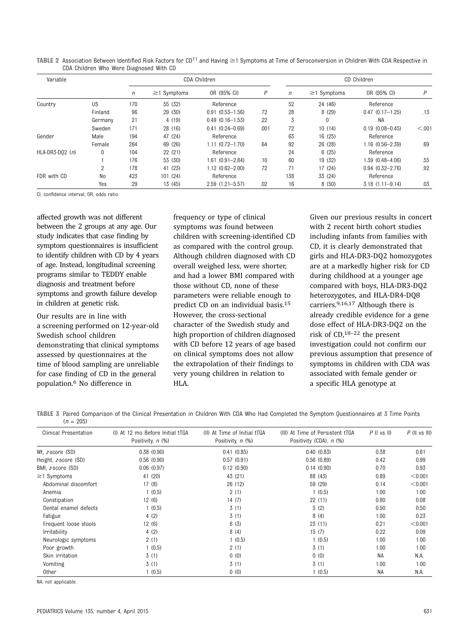| Variable          |                | CDA Children |                   |                     |      | CD Children |                   |                     |        |  |
|-------------------|----------------|--------------|-------------------|---------------------|------|-------------|-------------------|---------------------|--------|--|
|                   |                | n            | $\geq$ 1 Symptoms | OR (95% CI)         | P    | n           | $\geq$ 1 Symptoms | OR (95% CI)         | Ρ      |  |
| Country           | <b>US</b>      | 170          | 55 (32)           | Reference           |      | 52          | 24 (46)           | Reference           |        |  |
|                   | Finland        | 96           | 29 (30)           | $0.91(0.53 - 1.56)$ | .72  | 28          | 8(29)             | $0.47(0.17 - 1.25)$ | .13    |  |
|                   | Germany        | 21           | 4 (19)            | $0.49(0.16 - 1.53)$ | .22  | 3           | $\Omega$          | NA                  |        |  |
|                   | Sweden         | 171          | 28 (16)           | $0.41(0.24 - 0.69)$ | .001 | 72          | 10(14)            | $0.19(0.08 - 0.45)$ | < 0.01 |  |
| Gender            | Male           | 194          | 47 (24)           | Reference           |      | 63          | 16(25)            | Reference           |        |  |
|                   | Female         | 264          | 69 (26)           | $1.11(0.72 - 1.70)$ | .64  | 92          | 26 (28)           | $1.16(0.56 - 2.39)$ | .69    |  |
| HLA-DR3-DQ2 $(n)$ | 0              | 104          | 22(21)            | Reference           |      | 24          | 6(25)             | Reference           |        |  |
|                   |                | 176          | 53 (30)           | $1.61(0.91 - 2.84)$ | .10  | 60          | 19 (32)           | 1.39 (0.48-4.06)    | .55    |  |
|                   | $\overline{2}$ | 178          | 41 (23)           | $1.12(0.62 - 2.00)$ | .72  | 71          | 17(24)            | $0.94(0.32 - 2.76)$ | .92    |  |
| FDR with CD       | No             | 423          | 101(24)           | Reference           |      | 138         | 33 (24)           | Reference           |        |  |
|                   | Yes            | 29           | 13 (45)           | $2.59(1.21 - 5.57)$ | .02  | 16          | 8(50)             | $3.18(1.11 - 9.14)$ | .03    |  |

**TABLE 2** Association Between Identified Risk Factors for  $CD^{11}$  and Having  $\geq 1$  Symptoms at Time of Seroconversion in Children With CDA Respective in CDA Children Who Were Diagnosed With CD

CI, confidence interval; OR, odds ratio.

affected growth was not different between the 2 groups at any age. Our study indicates that case finding by symptom questionnaires is insufficient to identify children with CD by 4 years of age. Instead, longitudinal screening programs similar to TEDDY enable diagnosis and treatment before symptoms and growth failure develop in children at genetic risk.

Our results are in line with a screening performed on 12-year-old Swedish school children demonstrating that clinical symptoms assessed by questionnaires at the time of blood sampling are unreliable for case finding of CD in the general population.6 No difference in

frequency or type of clinical symptoms was found between children with screening-identified CD as compared with the control group. Although children diagnosed with CD overall weighed less, were shorter, and had a lower BMI compared with those without CD, none of these parameters were reliable enough to predict CD on an individual basis.15 However, the cross-sectional character of the Swedish study and high proportion of children diagnosed with CD before 12 years of age based on clinical symptoms does not allow the extrapolation of their findings to very young children in relation to HLA.

Given our previous results in concert with 2 recent birth cohort studies including infants from families with CD, it is clearly demonstrated that girls and HLA-DR3-DQ2 homozygotes are at a markedly higher risk for CD during childhood at a younger age compared with boys, HLA-DR3-DQ2 heterozygotes, and HLA-DR4-DQ8 carriers.9,16,17 Although there is already credible evidence for a gene dose effect of HLA-DR3-DQ2 on the risk of CD,18–<sup>22</sup> the present investigation could not confirm our previous assumption that presence of symptoms in children with CDA was associated with female gender or a specific HLA genotype at

TABLE 3 Paired Comparison of the Clinical Presentation in Children With CDA Who Had Completed the Symptom Questionnaires at 3 Time Points  $(n = 205)$ 

| <b>Clinical Presentation</b> | (I) At 12 mo Before Initial tTGA<br>Positivity, n (%) | (II) At Time of Initial tTGA<br>Positivity, n (%) | (III) At Time of Persistent tTGA<br>Positivity (CDA), n (%) | $P$ ( $\vert$ vs $\vert$ ) | $P$ (II vs III) |  |
|------------------------------|-------------------------------------------------------|---------------------------------------------------|-------------------------------------------------------------|----------------------------|-----------------|--|
| Wt. z-score (SD)             | 0.38(0.90)                                            | 0.41(0.85)                                        | 0.40(0.83)                                                  | 0.38                       | 0.61            |  |
| Height, z-score (SD)         | 0.56(0.90)                                            | 0.57(0.91)                                        | 0.56(0.89)                                                  | 0.42                       | 0.99            |  |
| BMI, z-score (SD)            | 0.06(0.97)                                            | 0.12(0.90)                                        | 0.14(0.90)                                                  | 0.70                       | 0.93            |  |
| $\geq$ 1 Symptoms            | 41 (20)                                               | 43 (21)                                           | 88 (43)                                                     | 0.89                       | < 0.001         |  |
| Abdominal discomfort         | 17(8)                                                 | 26 (12)                                           | 59 (29)                                                     | 0.14                       | < 0.001         |  |
| Anemia                       | 1(0.5)                                                | 2(1)                                              | 1(0.5)                                                      | 1.00                       | 1.00            |  |
| Constipation                 | 12(6)                                                 | 14(7)                                             | 22 (11)                                                     | 0.80                       | 0.08            |  |
| Dental enamel defects        | 1(0.5)                                                | 3(1)                                              | 5(2)                                                        | 0.50                       | 0.50            |  |
| Fatigue                      | 4(2)                                                  | 3(1)                                              | 8(4)                                                        | 1.00                       | 0.23            |  |
| Frequent loose stools        | 12(6)                                                 | 6(3)                                              | 23(11)                                                      | 0.21                       | < 0.001         |  |
| Irritability                 | 4(2)                                                  | 8(4)                                              | 15(7)                                                       | 0.22                       | 0.09            |  |
| Neurologic symptoms          | 2(1)                                                  | 1(0.5)                                            | 1(0.5)                                                      | 1.00                       | 1.00            |  |
| Poor growth                  | 1(0.5)                                                | 2(1)                                              | 3(1)                                                        | 1.00                       | 1.00            |  |
| Skin irritation              | 3(1)                                                  | 0(0)                                              | 0(0)                                                        | <b>NA</b>                  | N.A.            |  |
| Vomiting                     | 3(1)                                                  | 3(1)                                              | 3(1)                                                        | 1.00                       | 1.00            |  |
| Other                        | 1(0.5)                                                | 0(0)                                              | (0.5)                                                       | NA                         | N.A.            |  |

NA, not applicable.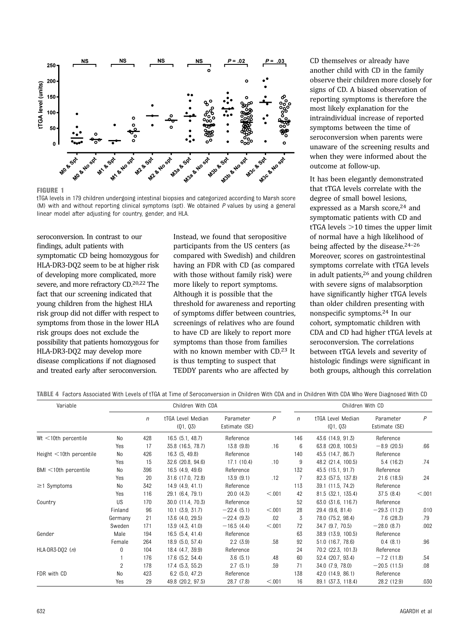

FIGURE 1

tTGA levels in 179 children undergoing intestinal biopsies and categorized according to Marsh score (M) with and without reporting clinical symptoms (spt). We obtained  $P$  values by using a general linear model after adjusting for country, gender, and HLA.

seroconversion. In contrast to our findings, adult patients with symptomatic CD being homozygous for HLA-DR3-DQ2 seem to be at higher risk of developing more complicated, more severe, and more refractory CD.<sup>20,22</sup> The fact that our screening indicated that young children from the highest HLA risk group did not differ with respect to symptoms from those in the lower HLA risk groups does not exclude the possibility that patients homozygous for HLA-DR3-DQ2 may develop more disease complications if not diagnosed and treated early after seroconversion.

Instead, we found that seropositive participants from the US centers (as compared with Swedish) and children having an FDR with CD (as compared with those without family risk) were more likely to report symptoms. Although it is possible that the threshold for awareness and reporting of symptoms differ between countries, screenings of relatives who are found to have CD are likely to report more symptoms than those from families with no known member with CD.<sup>23</sup> It is thus tempting to suspect that TEDDY parents who are affected by

CD themselves or already have another child with CD in the family observe their children more closely for signs of CD. A biased observation of reporting symptoms is therefore the most likely explanation for the intraindividual increase of reported symptoms between the time of seroconversion when parents were unaware of the screening results and when they were informed about the outcome at follow-up.

It has been elegantly demonstrated that tTGA levels correlate with the degree of small bowel lesions, expressed as a Marsh score,<sup>24</sup> and symptomatic patients with CD and tTGA levels  $>10$  times the upper limit of normal have a high likelihood of being affected by the disease.24–<sup>26</sup> Moreover, scores on gastrointestinal symptoms correlate with tTGA levels in adult patients,26 and young children with severe signs of malabsorption have significantly higher tTGA levels than older children presenting with nonspecific symptoms.24 In our cohort, symptomatic children with CDA and CD had higher tTGA levels at seroconversion. The correlations between tTGA levels and severity of histologic findings were significant in both groups, although this correlation

TABLE 4 Factors Associated With Levels of tTGA at Time of Seroconversion in Children With CDA and in Children With CDA Who Were Diagnosed With CD

| Variable                   |                |              | Children With CDA             |                            |         | Children With CD |                               |                            |         |
|----------------------------|----------------|--------------|-------------------------------|----------------------------|---------|------------------|-------------------------------|----------------------------|---------|
|                            |                | $\mathsf{n}$ | tTGA Level Median<br>(01, 03) | Parameter<br>Estimate (SE) | P       | $\mathsf{n}$     | tTGA Level Median<br>(01, 03) | Parameter<br>Estimate (SE) | P       |
| Wt $<$ 10th percentile     | No             | 428          | $16.5$ $(5.1, 48.7)$          | Reference                  |         | 146              | 43.6 (14.9, 91.3)             | Reference                  |         |
|                            | Yes            | 17           | 35.8 (16.5, 78.7)             | 13.8(9.8)                  | .16     | 6                | 63.8 (20.8, 100.5)            | $-8.9(20.5)$               | .66     |
| $Height < 10th$ percentile | No             | 426          | 16.3(5, 49.8)                 | Reference                  |         | 140              | 45.5 (14.7, 86.7)             | Reference                  |         |
|                            | Yes            | 15           | 32.6 (20.8, 94.6)             | 17.1(10.4)                 | .10     | 9                | 48.2 (21.4, 100.5)            | 5.4(16.2)                  | .74     |
| $BM < 10th$ percentile     | No             | 396          | 16.5(4.9, 49.6)               | Reference                  |         | 132              | 45.5 (15.1, 91.7)             | Reference                  |         |
|                            | Yes            | 20           | 31.6 (17.0, 72.8)             | 13.9(9.1)                  | .12     | 7                | 82.3 (57.5, 137.8)            | 21.6(18.5)                 | .24     |
| $\geq$ 1 Symptoms          | No             | 342          | 14.9(4.9, 41.1)               | Reference                  |         | 113              | 39.1 (11.5, 74.2)             | Reference                  |         |
|                            | Yes            | 116          | 29.1 (6.4, 79.1)              | 20.0(4.3)                  | < 0.001 | 42               | 81.5 (32.1, 135.4)            | 37.5(8.4)                  | < 0.001 |
| Country                    | <b>US</b>      | 170          | 30.0 (11.4, 70.3)             | Reference                  |         | 52               | 63.0 (31.6, 116.7)            | Reference                  |         |
|                            | Finland        | 96           | $10.1$ $(3.9, 31.7)$          | $-22.4(5.1)$               | < 0.001 | 28               | 29.4 (9.6, 81.4)              | $-29.3(11.2)$              | .010    |
|                            | Germany        | 21           | $13.6$ $(4.0, 29.5)$          | $-22.4(9.3)$               | .02     | 3                | 78.0 (75.2, 98.4)             | 7.6(28.3)                  | .79     |
|                            | Sweden         | 171          | 13.9(4.3, 41.0)               | $-16.5(4.4)$               | < 0.001 | 72               | 34.7 (9.7, 70.5)              | $-28.0(8.7)$               | .002    |
| Gender                     | Male           | 194          | 16.5(5.4, 41.4)               | Reference                  |         | 63               | 38.9 (13.9, 100.5)            | Reference                  |         |
|                            | Female         | 264          | 18.9 (5.0, 57.4)              | 2.2(3.9)                   | .58     | 92               | 51.0 (16.7, 78.6)             | 0.4(8.1)                   | .96     |
| HLA-DR3-D02 $(n)$          | 0              | 104          | 18.4 (4.7, 39.9)              | Reference                  |         | 24               | 70.2 (22.3, 101.3)            | Reference                  |         |
|                            |                | 176          | $17.6$ $(5.2, 54.4)$          | 3.6(5.1)                   | .48     | 60               | 52.4 (20.7, 93.4)             | $-7.2$ (11.8)              | .54     |
|                            | $\overline{2}$ | 178          | 17.4 (5.3, 55.2)              | 2.7(5.1)                   | .59     | 71               | 34.0 (7.9, 78.0)              | $-20.5(11.5)$              | .08     |
| FDR with CD                | No             | 423          | $6.2$ (5.0, 47.2)             | Reference                  |         | 138              | 42.0 (14.9, 86.1)             | Reference                  |         |
|                            | Yes            | 29           | 49.8 (20.2, 97.5)             | 28.7 (7.8)                 | < 0.01  | 16               | 89.1 (37.3, 118.4)            | 28.2 (12.9)                | .030    |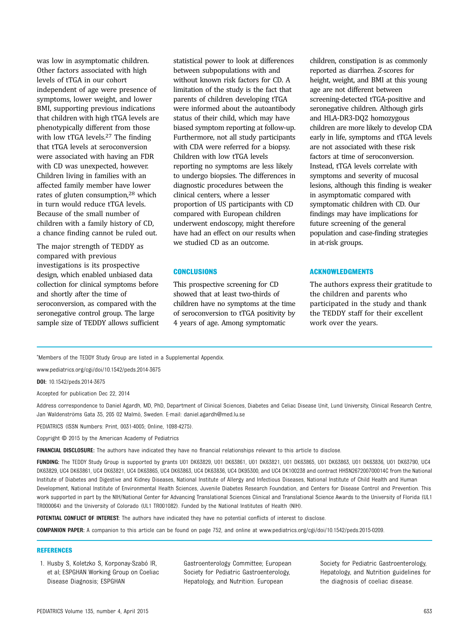was low in asymptomatic children. Other factors associated with high levels of tTGA in our cohort independent of age were presence of symptoms, lower weight, and lower BMI, supporting previous indications that children with high tTGA levels are phenotypically different from those with low tTGA levels.27 The finding that tTGA levels at seroconversion were associated with having an FDR with CD was unexpected, however. Children living in families with an affected family member have lower rates of gluten consumption,<sup>28</sup> which in turn would reduce tTGA levels. Because of the small number of children with a family history of CD, a chance finding cannot be ruled out.

The major strength of TEDDY as compared with previous investigations is its prospective design, which enabled unbiased data collection for clinical symptoms before and shortly after the time of seroconversion, as compared with the seronegative control group. The large sample size of TEDDY allows sufficient statistical power to look at differences between subpopulations with and without known risk factors for CD. A limitation of the study is the fact that parents of children developing tTGA were informed about the autoantibody status of their child, which may have biased symptom reporting at follow-up. Furthermore, not all study participants with CDA were referred for a biopsy. Children with low tTGA levels reporting no symptoms are less likely to undergo biopsies. The differences in diagnostic procedures between the clinical centers, where a lesser proportion of US participants with CD compared with European children underwent endoscopy, might therefore have had an effect on our results when we studied CD as an outcome.

#### **CONCLUSIONS**

This prospective screening for CD showed that at least two-thirds of children have no symptoms at the time of seroconversion to tTGA positivity by 4 years of age. Among symptomatic

children, constipation is as commonly reported as diarrhea. Z-scores for height, weight, and BMI at this young age are not different between screening-detected tTGA-positive and seronegative children. Although girls and HLA-DR3-DQ2 homozygous children are more likely to develop CDA early in life, symptoms and tTGA levels are not associated with these risk factors at time of seroconversion. Instead, tTGA levels correlate with symptoms and severity of mucosal lesions, although this finding is weaker in asymptomatic compared with symptomatic children with CD. Our findings may have implications for future screening of the general population and case-finding strategies in at-risk groups.

## ACKNOWLEDGMENTS

The authors express their gratitude to the children and parents who participated in the study and thank the TEDDY staff for their excellent work over the years.

\* Members of the TEDDY Study Group are listed in a Supplemental Appendix.

www.pediatrics.org/cgi/doi/10.1542/peds.2014-3675

DOI: 10.1542/peds.2014-3675

Accepted for publication Dec 22, 2014

Address correspondence to Daniel Agardh, MD, PhD, Department of Clinical Sciences, Diabetes and Celiac Disease Unit, Lund University, Clinical Research Centre, Jan Waldenströms Gata 35, 205 02 Malmö, Sweden. E-mail: [daniel.agardh@med.lu.se](mailto:daniel.agardh@med.lu.se)

PEDIATRICS (ISSN Numbers: Print, 0031-4005; Online, 1098-4275).

Copyright © 2015 by the American Academy of Pediatrics

FINANCIAL DISCLOSURE: The authors have indicated they have no financial relationships relevant to this article to disclose.

FUNDING: The TEDDY Study Group is supported by grants U01 DK63829, U01 DK63861, U01 DK63863, U01 DK63863, U01 DK63865, U01 DK63863, U01 DK63836, U01 DK63790, UC4 DK63829, UC4 DK63861, UC4 DK63821, UC4 DK63865, UC4 DK63863, UC4 DK63836, UC4 DK95300, and UC4 DK100238 and contract HHSN267200700014C from the National Institute of Diabetes and Digestive and Kidney Diseases, National Institute of Allergy and Infectious Diseases, National Institute of Child Health and Human Development, National Institute of Environmental Health Sciences, Juvenile Diabetes Research Foundation, and Centers for Disease Control and Prevention. This work supported in part by the NIH/National Center for Advancing Translational Sciences Clinical and Translational Science Awards to the University of Florida (UL1 TR000064) and the University of Colorado (UL1 TR001082). Funded by the National Institutes of Health (NIH).

POTENTIAL CONFLICT OF INTEREST: The authors have indicated they have no potential conflicts of interest to disclose.

COMPANION PAPER: A companion to this article can be found on page 752, and online at www.pediatrics.org/cgi/doi/10.1542/peds.2015-0209.

#### **REFERENCES**

1. Husby S, Koletzko S, Korponay-Szabó IR, et al; ESPGHAN Working Group on Coeliac Disease Diagnosis; ESPGHAN

Gastroenterology Committee; European Society for Pediatric Gastroenterology, Hepatology, and Nutrition. European

Society for Pediatric Gastroenterology, Hepatology, and Nutrition guidelines for the diagnosis of coeliac disease.